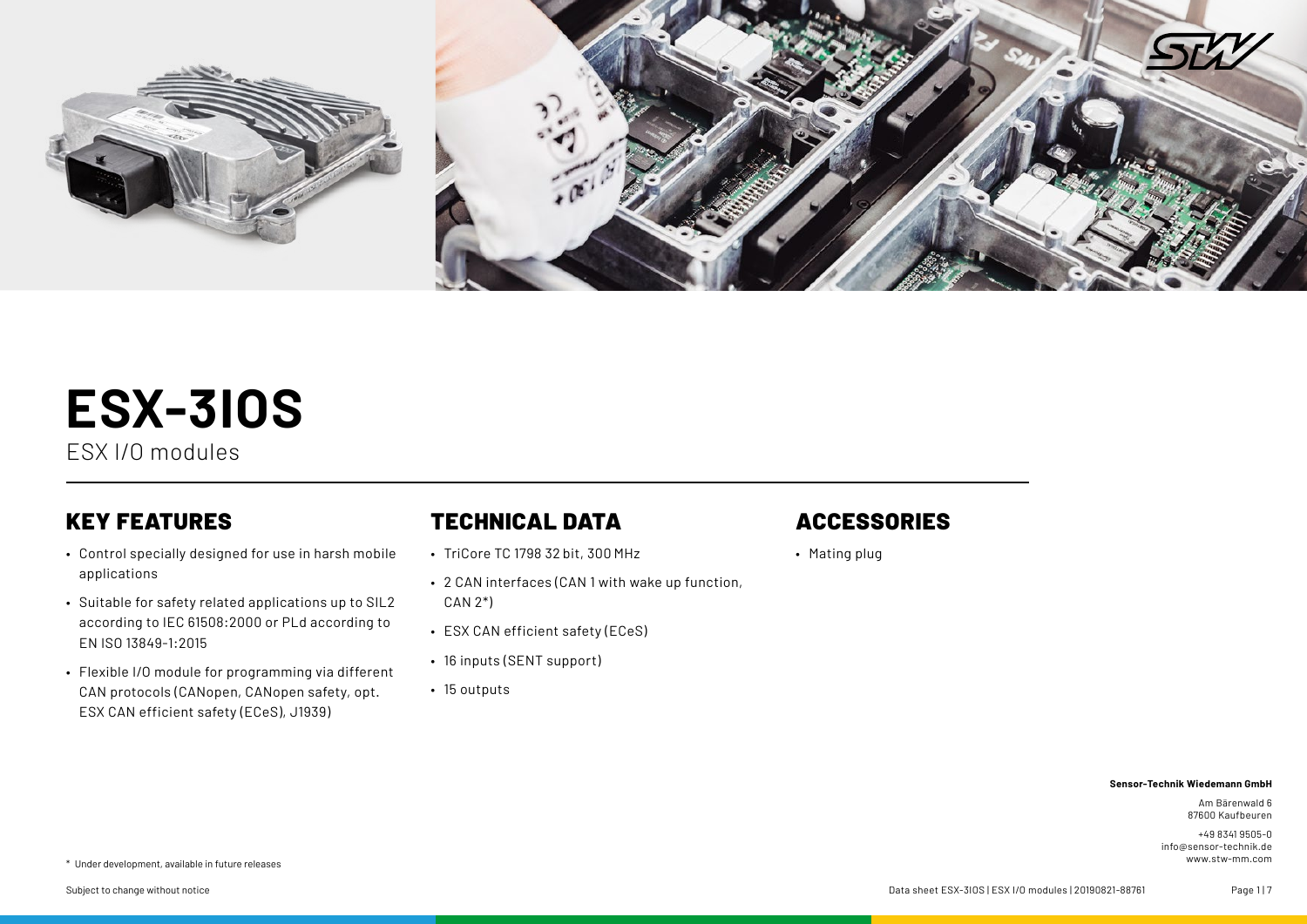

# **ESX-3IOS**

ESX I/O modules

# KEY FEATURES

- Control specially designed for use in harsh mobile applications
- Suitable for safety related applications up to SIL2 according to IEC 61508:2000 or PLd according to EN ISO 13849-1:2015
- Flexible I/O module for programming via different CAN protocols (CANopen, CANopen safety, opt. ESX CAN efficient safety (ECeS), J1939)

# TECHNICAL DATA

- TriCore TC 1798 32 bit, 300 MHz
- 2 CAN interfaces (CAN 1 with wake up function, CAN 2\*)
- ESX CAN efficient safety (ECeS)
- 16 inputs (SENT support)
- 15 outputs

# ACCESSORIES

• Mating plug

#### **Sensor-Technik Wiedemann GmbH**

Am Bärenwald 6 87600 Kaufbeuren

+49 8341 9505-0 info@sensor-technik.de

www.stw-mm.com \* Under development, available in future releases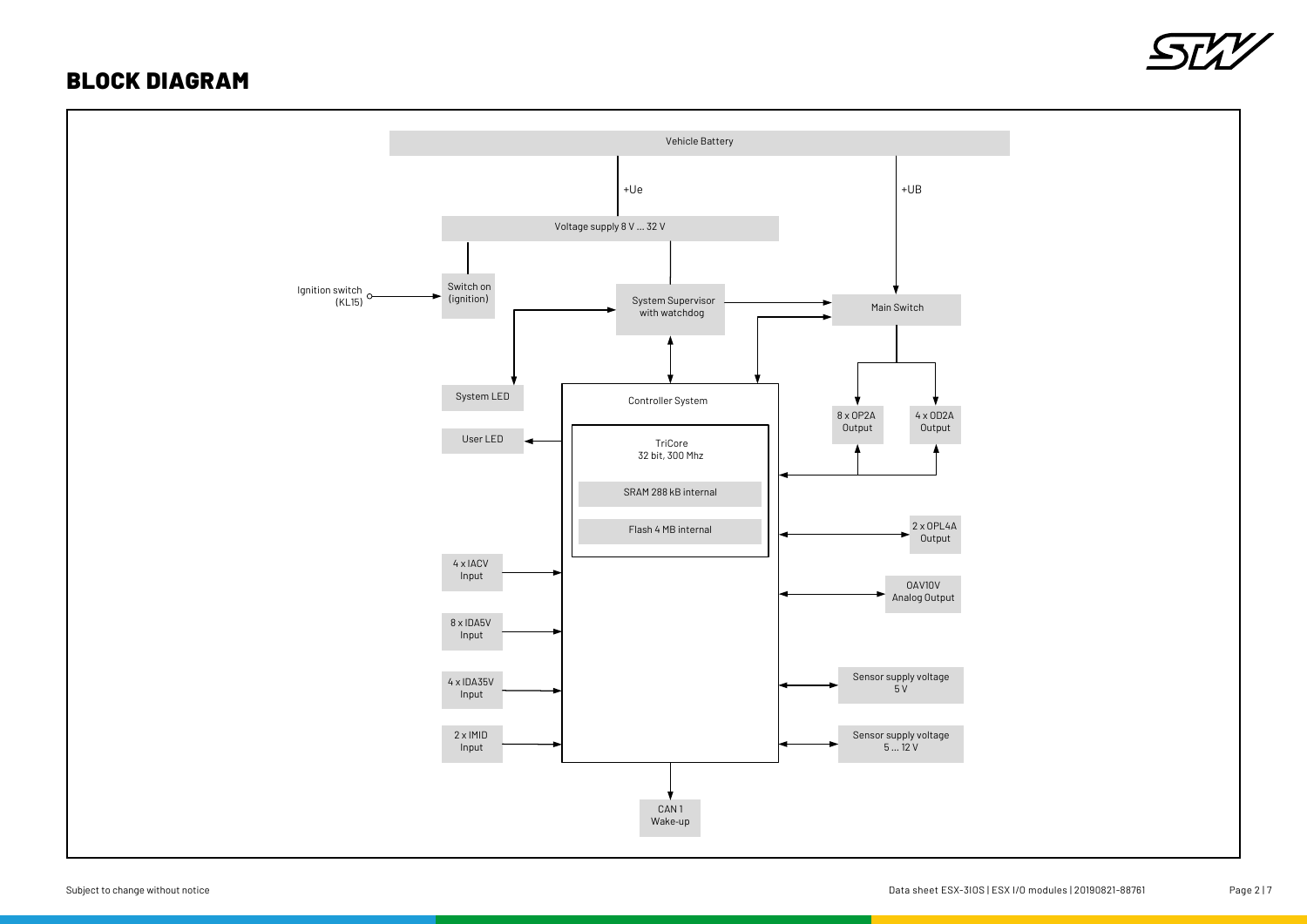## BLOCK DIAGRAM



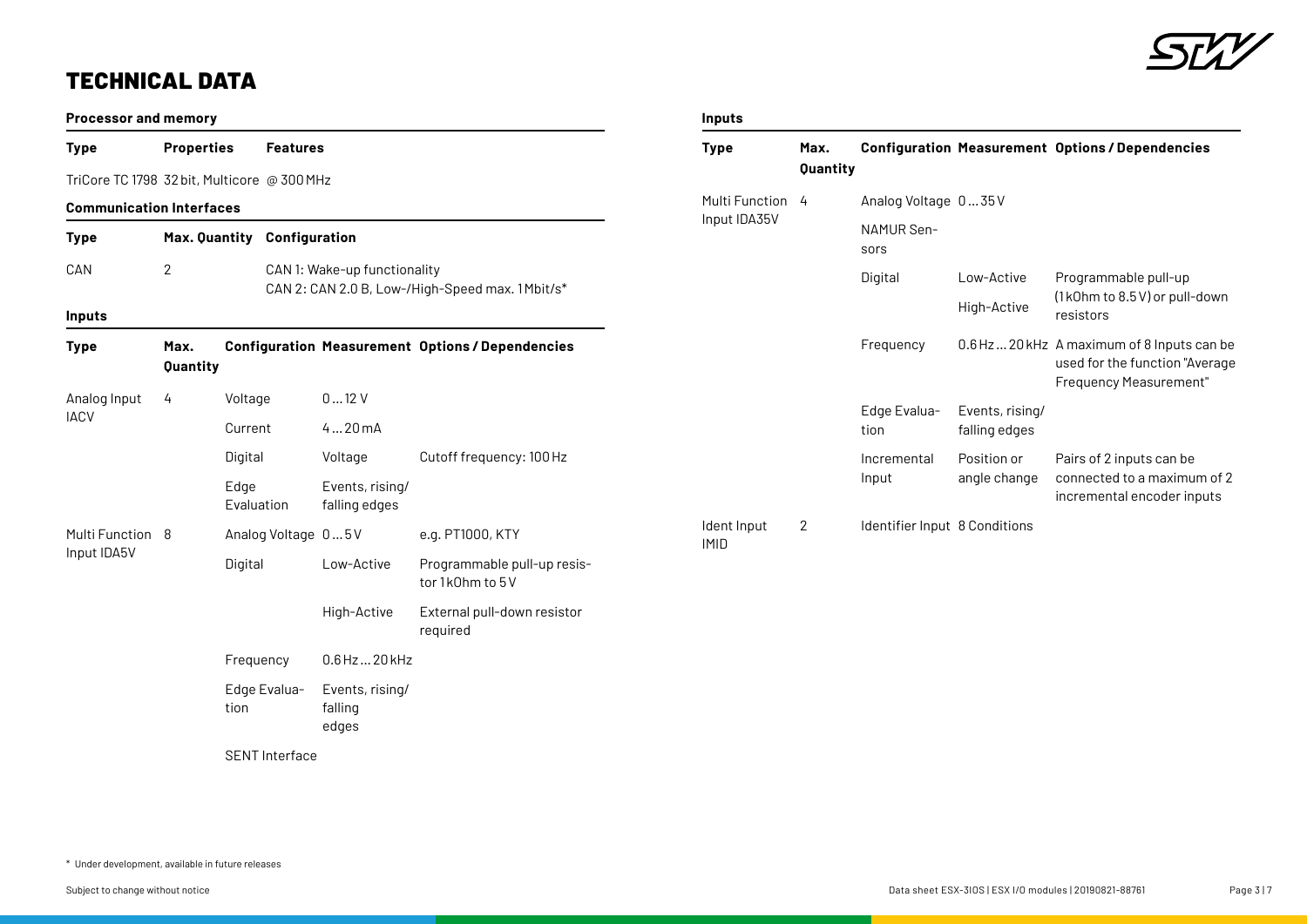

# TECHNICAL DATA

| <b>Processor and memory</b>     |                                              |                                             |                                     | <b>Inputs</b>                                           |                            |                  |                               |                             |                                                                                                               |
|---------------------------------|----------------------------------------------|---------------------------------------------|-------------------------------------|---------------------------------------------------------|----------------------------|------------------|-------------------------------|-----------------------------|---------------------------------------------------------------------------------------------------------------|
| <b>Type</b>                     | <b>Properties</b>                            | <b>Features</b>                             |                                     |                                                         | <b>Type</b>                | Max.<br>Quantity |                               |                             | <b>Configuration Measurement Options/Dependencies</b>                                                         |
|                                 |                                              | TriCore TC 1798 32 bit, Multicore @ 300 MHz |                                     |                                                         | Multi Function 4           |                  | Analog Voltage 035V           |                             |                                                                                                               |
| <b>Communication Interfaces</b> |                                              |                                             |                                     |                                                         | Input IDA35V               |                  |                               |                             |                                                                                                               |
| <b>Type</b>                     | <b>Max. Quantity</b>                         | Configuration                               |                                     |                                                         |                            |                  | NAMUR Sen-<br>sors            |                             |                                                                                                               |
| CAN                             | $\mathbf{2}$<br>CAN 1: Wake-up functionality |                                             |                                     | CAN 2: CAN 2.0 B, Low-/High-Speed max. 1Mbit/s*         |                            |                  | Digital                       | Low-Active                  | Programmable pull-up                                                                                          |
| <b>Inputs</b>                   |                                              |                                             |                                     |                                                         |                            |                  |                               | High-Active                 | (1k0hm to 8.5 V) or pull-down<br>resistors                                                                    |
| <b>Type</b>                     | Max.<br>Quantity                             |                                             |                                     | <b>Configuration Measurement Options / Dependencies</b> |                            |                  | Frequency                     |                             | 0.6 Hz 20 kHz A maximum of 8 Inputs can be<br>used for the function "Average<br><b>Frequency Measurement"</b> |
| Analog Input<br><b>IACV</b>     | 4                                            | Voltage                                     | 012V                                |                                                         |                            |                  | Edge Evalua-                  | Events, rising/             |                                                                                                               |
|                                 |                                              | Current                                     | 420mA                               |                                                         |                            |                  | tion                          | falling edges               |                                                                                                               |
|                                 |                                              | Digital                                     | Voltage                             | Cutoff frequency: 100 Hz                                |                            |                  | Incremental<br>Input          | Position or<br>angle change | Pairs of 2 inputs can be<br>connected to a maximum of 2<br>incremental encoder inputs                         |
|                                 |                                              | Edge<br>Evaluation                          | Events, rising/<br>falling edges    |                                                         |                            |                  |                               |                             |                                                                                                               |
| Multi Function 8<br>Input IDA5V |                                              | Analog Voltage 05V                          |                                     | e.g. PT1000, KTY                                        | Ident Input<br><b>IMID</b> | $\mathbf{2}$     | Identifier Input 8 Conditions |                             |                                                                                                               |
|                                 |                                              | Digital                                     | Low-Active                          | Programmable pull-up resis-<br>tor 1k0hm to 5V          |                            |                  |                               |                             |                                                                                                               |
|                                 |                                              |                                             | High-Active                         | External pull-down resistor<br>required                 |                            |                  |                               |                             |                                                                                                               |
|                                 |                                              | Frequency                                   | 0.6 Hz  20 kHz                      |                                                         |                            |                  |                               |                             |                                                                                                               |
|                                 |                                              | Edge Evalua-<br>tion                        | Events, rising/<br>falling<br>edges |                                                         |                            |                  |                               |                             |                                                                                                               |
|                                 |                                              | <b>SENT Interface</b>                       |                                     |                                                         |                            |                  |                               |                             |                                                                                                               |

\* Under development, available in future releases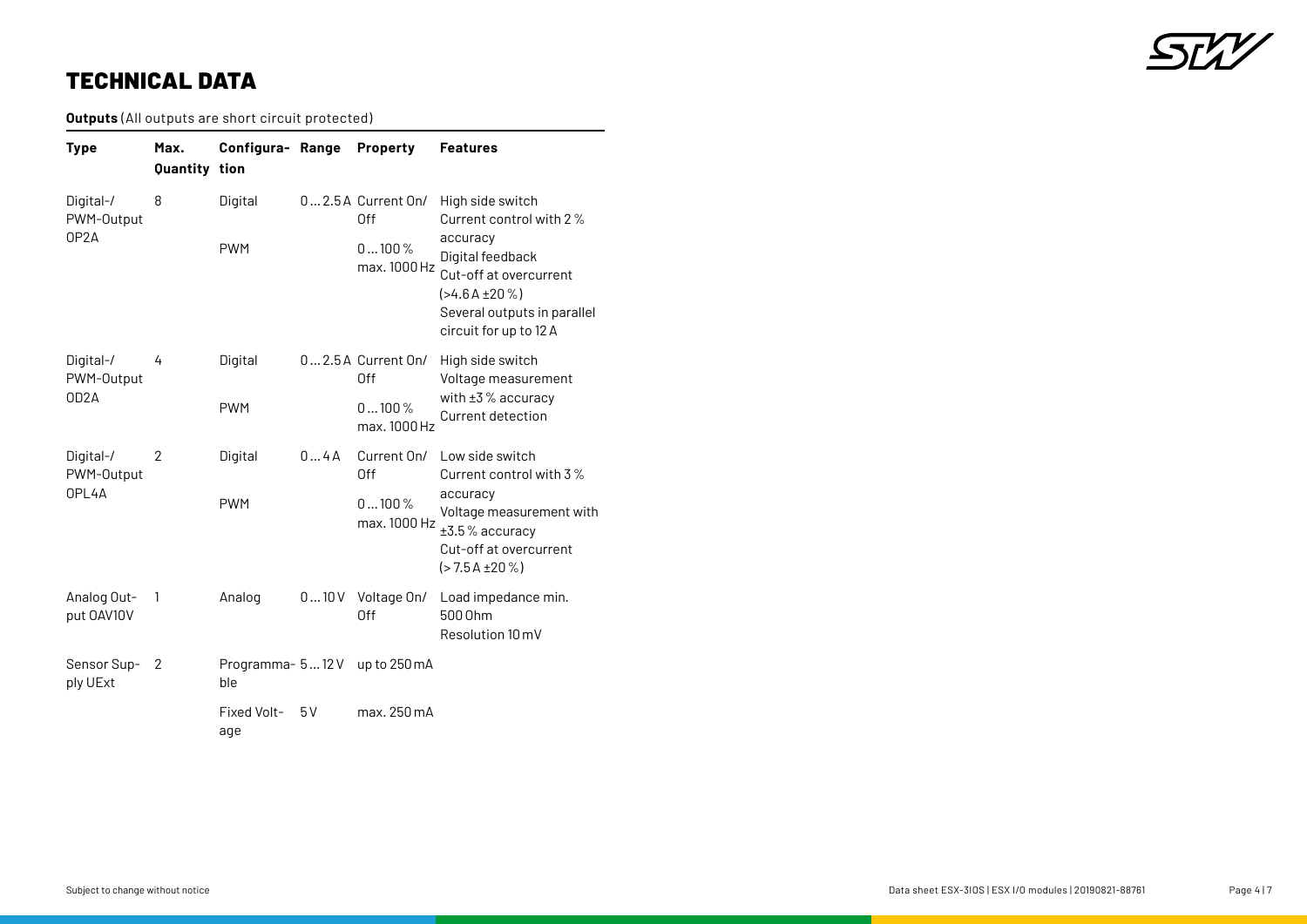

## TECHNICAL DATA

**Outputs** (All outputs are short circuit protected)

| Type                                         | Max.<br>Quantity tion | Configura- Range       |              | <b>Property</b>                                               | <b>Features</b>                                                                                                                                                                     |  |
|----------------------------------------------|-----------------------|------------------------|--------------|---------------------------------------------------------------|-------------------------------------------------------------------------------------------------------------------------------------------------------------------------------------|--|
| Digital-/<br>PWM-Output<br>OP <sub>2</sub> A | 8                     | Digital<br><b>PWM</b>  |              | $02.5A$ Current On/<br><b>Off</b><br>$0100\%$<br>max. 1000 Hz | High side switch<br>Current control with 2%<br>accuracy<br>Digital feedback<br>Cut-off at overcurrent<br>$($ >4.6 A ±20 %)<br>Several outputs in parallel<br>circuit for up to 12 A |  |
| Digital-/<br>PWM-Output                      | 4                     | Digital                |              | $02.5A$ Current On/<br>0ff                                    | High side switch<br>Voltage measurement                                                                                                                                             |  |
| OD <sub>2</sub> A                            |                       | <b>PWM</b>             |              | $0100\%$<br>max. 1000 Hz                                      | with $\pm 3$ % accuracy<br>Current detection                                                                                                                                        |  |
| Digital-/<br>PWM-Output                      | 2                     | Digital                | $0 \dots 4A$ | Current On/<br>Off                                            | Low side switch<br>Current control with 3%                                                                                                                                          |  |
| OPL4A                                        |                       | <b>PWM</b>             |              | $0100\%$<br>max. 1000 Hz                                      | accuracy<br>Voltage measurement with<br>±3.5% accuracy<br>Cut-off at overcurrent<br>$(>7.5A \pm 20\%)$                                                                              |  |
| Analog Out-<br>put 0AV10V                    | 1                     | Analog                 | 010V         | Voltage On/<br>Off                                            | Load impedance min.<br>500 0hm<br>Resolution 10 mV                                                                                                                                  |  |
| Sensor Sup-<br>ply UExt                      | 2                     | Programma- 512V<br>ble |              | up to 250 mA                                                  |                                                                                                                                                                                     |  |
|                                              |                       | Fixed Volt-<br>age     | 5V           | max. 250 mA                                                   |                                                                                                                                                                                     |  |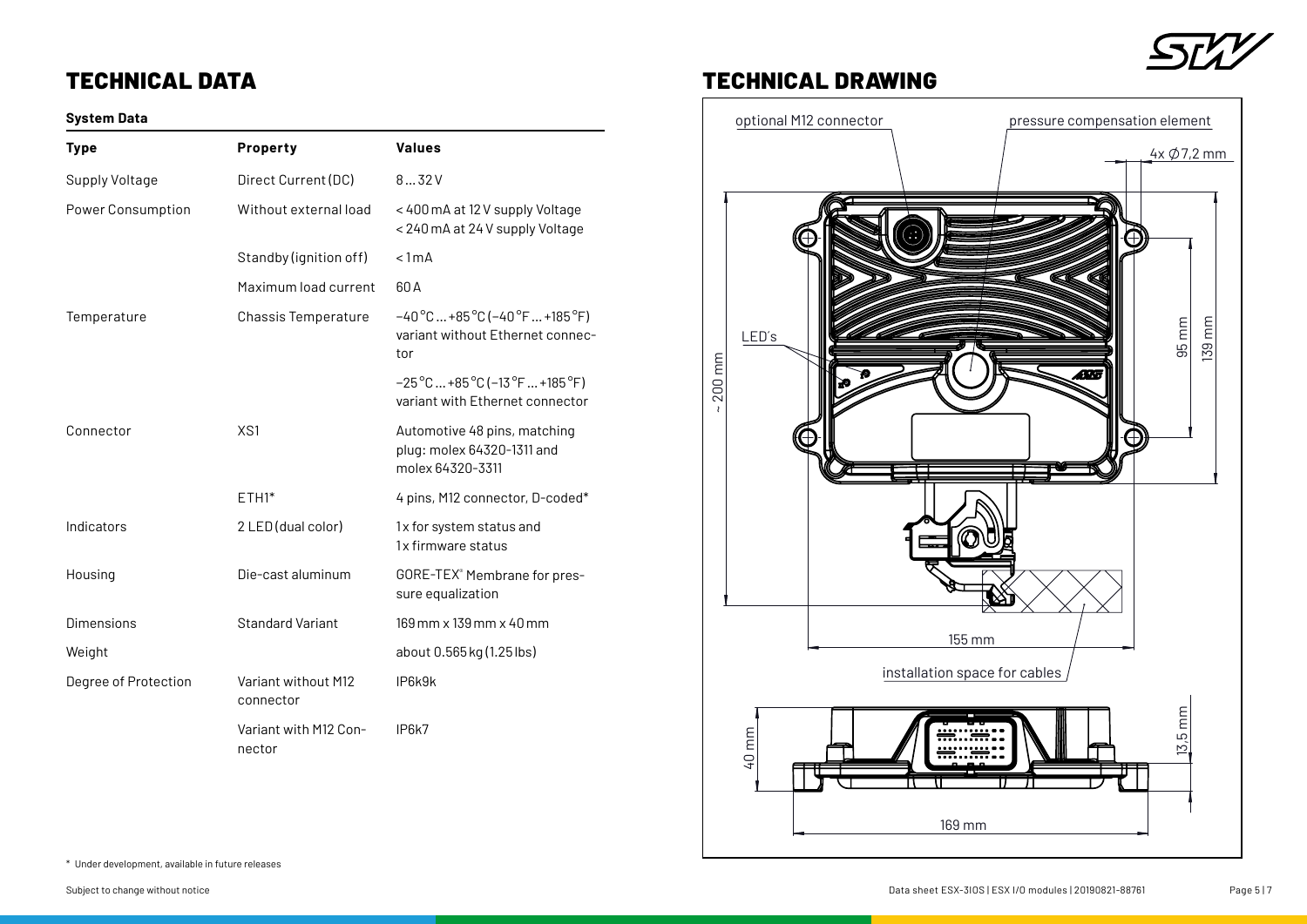# TECHNICAL DATA

### **System Data**

| <b>Type</b>              | Property                         | <b>Values</b>                                                                                                      |
|--------------------------|----------------------------------|--------------------------------------------------------------------------------------------------------------------|
| Supply Voltage           | Direct Current (DC)              | 832V                                                                                                               |
| <b>Power Consumption</b> | Without external load            | < 400 mA at 12 V supply Voltage<br>< 240 mA at 24 V supply Voltage                                                 |
|                          | Standby (ignition off)           | < 1mA                                                                                                              |
|                          | Maximum load current             | 60A                                                                                                                |
| Temperature              | Chassis Temperature              | $-40^{\circ}$ C  +85 $^{\circ}$ C (-40 $^{\circ}$ F  +185 $^{\circ}$ F)<br>variant without Ethernet connec-<br>tor |
|                          |                                  | $-25^{\circ}$ C  +85 $^{\circ}$ C (-13 $^{\circ}$ F  +185 $^{\circ}$ F)<br>variant with Ethernet connector         |
| Connector                | XS1                              | Automotive 48 pins, matching<br>plug: molex 64320-1311 and<br>molex 64320-3311                                     |
|                          | $ETH1*$                          | 4 pins, M12 connector, D-coded*                                                                                    |
| Indicators               | 2 LED (dual color)               | 1x for system status and<br>1x firmware status                                                                     |
| Housing                  | Die-cast aluminum                | GORE-TEX® Membrane for pres-<br>sure equalization                                                                  |
| Dimensions               | <b>Standard Variant</b>          | 169 mm x 139 mm x 40 mm                                                                                            |
| Weight                   |                                  | about 0.565 kg (1.25 lbs)                                                                                          |
| Degree of Protection     | Variant without M12<br>connector | IP6k9k                                                                                                             |
|                          | Variant with M12 Con-<br>nector  | IP <sub>6</sub> k7                                                                                                 |



## TECHNICAL DRAWING



\* Under development, available in future releases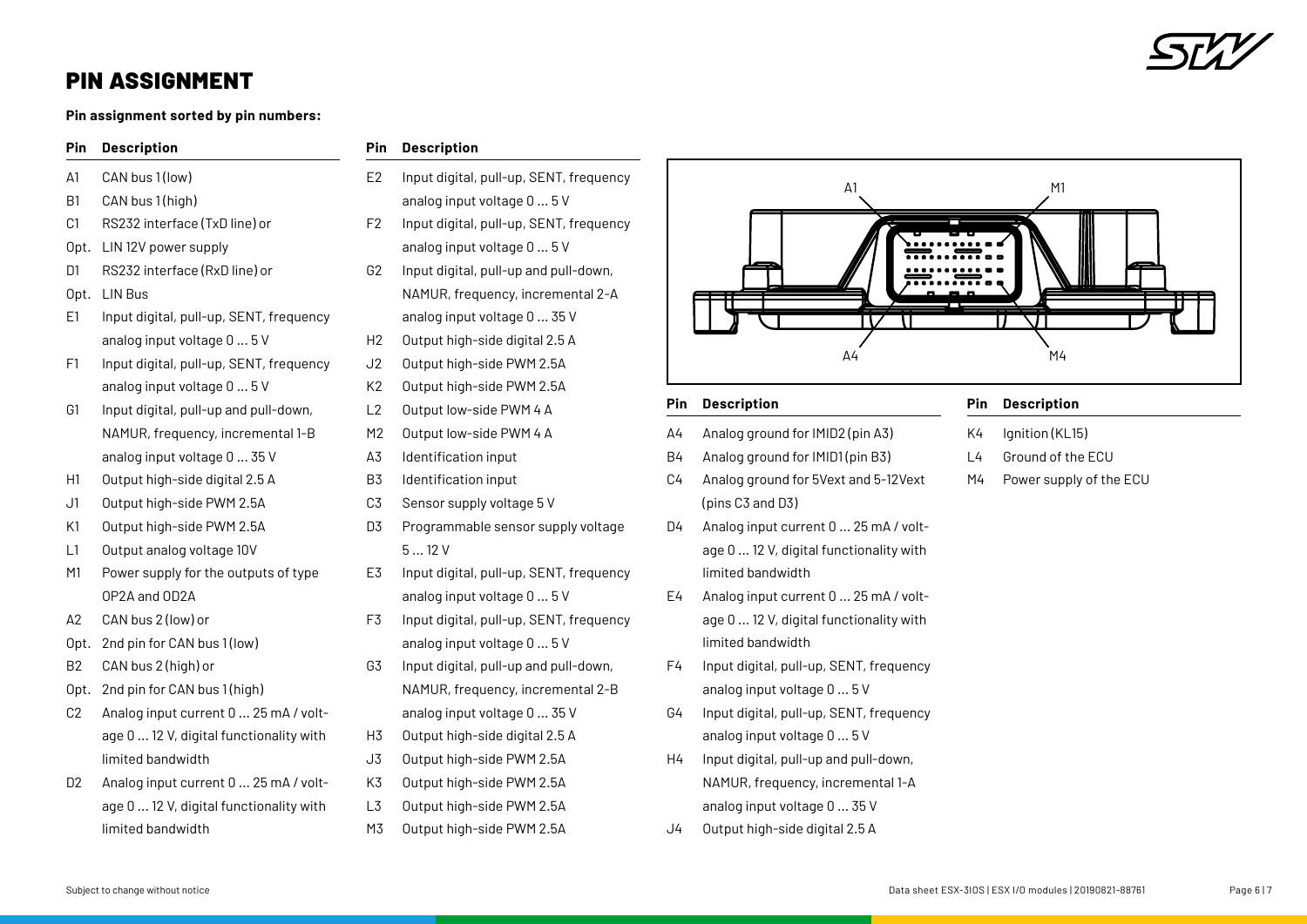

## PIN ASSIGNMENT

**Pin assignment sorted by pin numbers:**

#### **Pin Description**

- A1 CAN bus 1 (low)
- B1 CAN bus 1(high)

**Pin Description**

- C1 RS232 interface (TxD line) or
- Opt. LIN 12V power supply
- D1 RS232 interface (RxD line) or
- Opt. LIN Bus
- E1 Input digital, pull-up, SENT, frequency analog input voltage 0 ... 5 V
- F1 Input digital, pull-up, SENT, frequency analog input voltage 0 ... 5 V
- G1 Input digital, pull-up and pull-down, NAMUR, frequency, incremental 1-B analog input voltage 0 ... 35 V
- H1 Output high-side digital 2.5 A
- J1 Output high-side PWM 2.5A
- K1 Output high-side PWM 2.5A
- L1 Output analog voltage 10V
- M1 Power supply for the outputs of type OP2A and OD2A
- A2 CAN bus 2 (low) or
- Opt. 2nd pin for CAN bus 1(low)
- B2 CAN bus 2 (high) or
- Opt. 2nd pin for CAN bus 1(high)
- C2 Analog input current 0 ... 25 mA / voltage 0 ... 12 V, digital functionality with limited bandwidth
- D2 Analog input current 0 ... 25 mA / voltage 0 ... 12 V, digital functionality with limited bandwidth

| E <sub>2</sub> | Input digital, pull-up, SENT, frequency |
|----------------|-----------------------------------------|
|                | analog input voltage 0  5 V             |
| F <sub>2</sub> | Input digital, pull-up, SENT, frequency |
|                | analog input voltage 0  5 V             |

- G2 Input digital, pull-up and pull-down, NAMUR, frequency, incremental 2-A
- analog input voltage 0 ... 35 V
- H2 Output high-side digital 2.5 A
- J2 Output high-side PWM 2.5A
- K2 Output high-side PWM 2.5A
- L2 Output low-side PWM 4 A
- M2 Output low-side PWM 4 A
- A3 Identification input
- B3 Identification input
- C3 Sensor supply voltage 5 V
- D3 Programmable sensor supply voltage 5 ... 12 V
- E3 Input digital, pull-up, SENT, frequency analog input voltage 0 ... 5 V
- F3 Input digital, pull-up, SENT, frequency analog input voltage 0 ... 5 V
- G3 Input digital, pull-up and pull-down, NAMUR, frequency, incremental 2-B
- analog input voltage 0 ... 35 V
- H3 Output high-side digital 2.5 A
- J3 Output high-side PWM 2.5A
- K3 Output high-side PWM 2.5A
- L3 Output high-side PWM 2.5A
- M3 Output high-side PWM 2.5A



#### **Pin Description**

- A4 Analog ground for IMID2 (pin A3)
- B4 Analog ground for IMID1 (pin B3)
- C4 Analog ground for 5Vext and 5-12Vext (pins C3 and D3)
- D4 Analog input current 0 ... 25 mA / voltage 0 ... 12 V, digital functionality with limited bandwidth
- E4 Analog input current 0 ... 25 mA / voltage 0 ... 12 V, digital functionality with limited bandwidth
- F4 Input digital, pull-up, SENT, frequency analog input voltage 0 ... 5 V
- G4 Input digital, pull-up, SENT, frequency analog input voltage 0 ... 5 V
- H4 Input digital, pull-up and pull-down, NAMUR, frequency, incremental 1-A analog input voltage 0 ... 35 V
- J4 Output high-side digital 2.5 A

#### **Pin Description**

- K4 Ignition (KL15)
- L4 Ground of the ECU
- M4 Power supply of the ECU